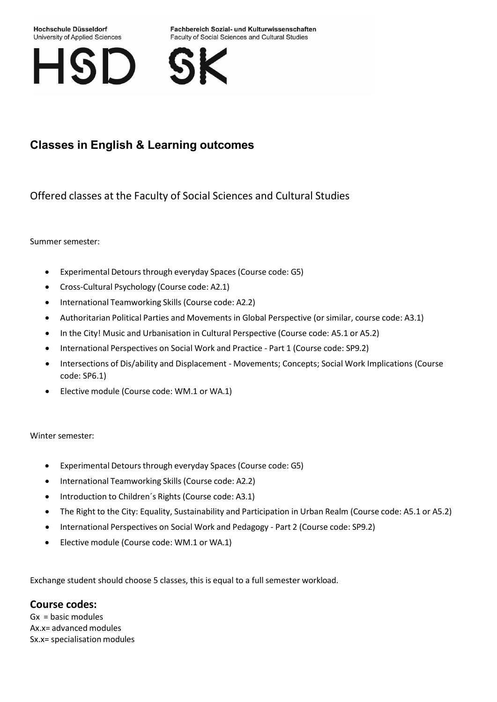#### Hochschule Düsseldorf University of Applied Sciences

Fachbereich Sozial- und Kulturwissenschaften Faculty of Social Sciences and Cultural Studies



# **Classes in English & Learning outcomes**

Offered classes at the Faculty of Social Sciences and Cultural Studies

Summer semester:

- Experimental Detours through everyday Spaces (Course code: G5)
- Cross-Cultural Psychology (Course code: A2.1)
- International Teamworking Skills (Course code: A2.2)
- Authoritarian Political Parties and Movements in Global Perspective (orsimilar, course code: A3.1)
- In the City! Music and Urbanisation in Cultural Perspective (Course code: A5.1 or A5.2)
- International Perspectives on Social Work and Practice Part 1 (Course code: SP9.2)
- Intersections of Dis/ability and Displacement Movements; Concepts; Social Work Implications (Course code: SP6.1)
- Elective module (Course code: WM.1 or WA.1)

Winter semester:

- Experimental Detours through everyday Spaces (Course code: G5)
- International Teamworking Skills (Course code: A2.2)
- Introduction to Children's Rights (Course code: A3.1)
- The Right to the City: Equality, Sustainability and Participation in Urban Realm (Course code: A5.1 or A5.2)
- International Perspectives on Social Work and Pedagogy Part 2 (Course code: SP9.2)
- Elective module (Course code: WM.1 or WA.1)

Exchange student should choose 5 classes, this is equal to a full semester workload.

## **Course codes:**

Gx = basic modules Ax.x= advanced modules Sx.x= specialisation modules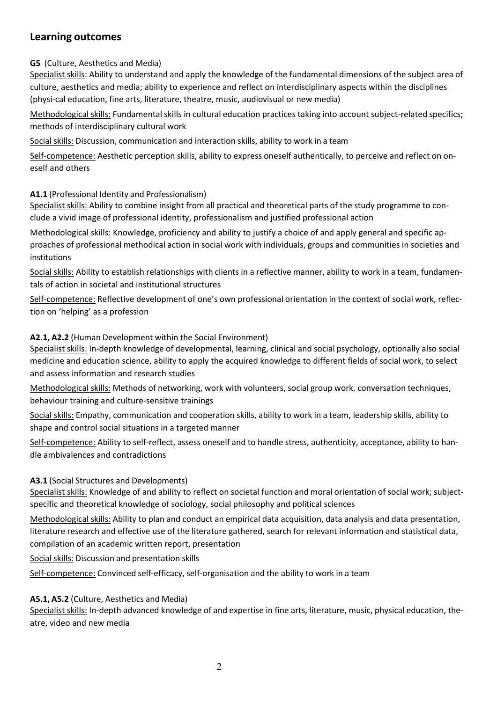# **Learning outcomes**

**G5** (Culture, Aesthetics and Media)

Specialist skills: Ability to understand and apply the knowledge of the fundamental dimensions of the subject area of culture, aesthetics and media; ability to experience and reflect on interdisciplinary aspects within the disciplines (physi-cal education, fine arts, literature, theatre, music, audiovisual or new media)

Methodological skills: Fundamental skills in cultural education practices taking into account subject-related specifics; methods of interdisciplinary cultural work

Social skills: Discussion, communication and interaction skills, ability to work in a team

Self-competence: Aesthetic perception skills, ability to express oneself authentically, to perceive and reflect on oneself and others

#### **A1.1** (Professional Identity and Professionalism)

Specialist skills: Ability to combine insight from all practical and theoretical parts of the study programme to conclude a vivid image of professional identity, professionalism and justified professional action

Methodological skills: Knowledge, proficiency and ability to justify a choice of and apply general and specific approaches of professional methodical action in social work with individuals, groups and communities in societies and institutions

Social skills: Ability to establish relationships with clients in a reflective manner, ability to work in a team, fundamentals of action in societal and institutional structures

Self-competence: Reflective development of one's own professional orientation in the context of social work, reflection on 'helping' as a profession

#### **A2.1, A2.2** (Human Development within the Social Environment)

Specialist skills: In-depth knowledge of developmental, learning, clinical and social psychology, optionally also social medicine and education science, ability to apply the acquired knowledge to different fields of social work, to select and assess information and research studies

Methodological skills: Methods of networking, work with volunteers, social group work, conversation techniques, behaviour training and culture-sensitive trainings

Social skills: Empathy, communication and cooperation skills, ability to work in a team, leadership skills, ability to shape and control social situations in a targeted manner

Self-competence: Ability to self-reflect, assess oneself and to handle stress, authenticity, acceptance, ability to handle ambivalences and contradictions

#### **A3.1** (Social Structures and Developments)

Specialist skills: Knowledge of and ability to reflect on societal function and moral orientation of social work; subjectspecific and theoretical knowledge of sociology, social philosophy and political sciences

Methodological skills: Ability to plan and conduct an empirical data acquisition, data analysis and data presentation, literature research and effective use of the literature gathered, search for relevant information and statistical data, compilation of an academic written report, presentation

Social skills: Discussion and presentation skills

Self-competence: Convinced self-efficacy, self-organisation and the ability to work in a team

### **A5.1, A5.2** (Culture, Aesthetics and Media)

Specialist skills: In-depth advanced knowledge of and expertise in fine arts, literature, music, physical education, theatre, video and new media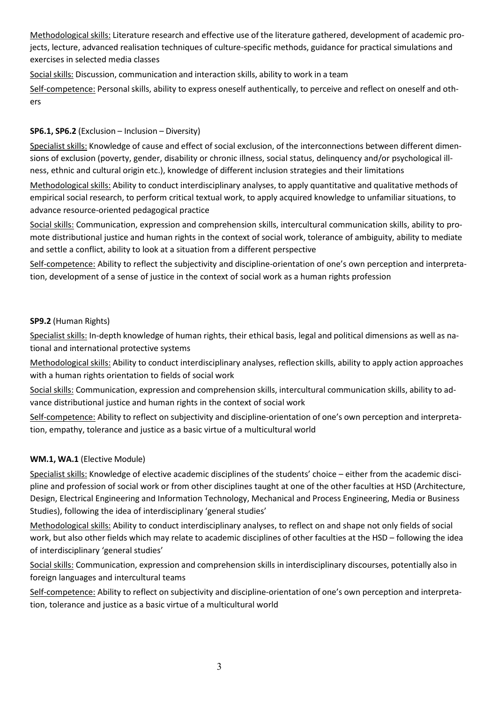Methodological skills: Literature research and effective use of the literature gathered, development of academic projects, lecture, advanced realisation techniques of culture-specific methods, guidance for practical simulations and exercises in selected media classes

Social skills: Discussion, communication and interaction skills, ability to work in a team

Self-competence: Personalskills, ability to express oneself authentically, to perceive and reflect on oneself and others

### **SP6.1, SP6.2** (Exclusion – Inclusion – Diversity)

Specialist skills: Knowledge of cause and effect of social exclusion, of the interconnections between different dimensions of exclusion (poverty, gender, disability or chronic illness, social status, delinquency and/or psychological illness, ethnic and cultural origin etc.), knowledge of different inclusion strategies and their limitations

Methodological skills: Ability to conduct interdisciplinary analyses, to apply quantitative and qualitative methods of empirical social research, to perform critical textual work, to apply acquired knowledge to unfamiliar situations, to advance resource-oriented pedagogical practice

Social skills: Communication, expression and comprehension skills, intercultural communication skills, ability to promote distributional justice and human rights in the context of social work, tolerance of ambiguity, ability to mediate and settle a conflict, ability to look at a situation from a different perspective

Self-competence: Ability to reflect the subjectivity and discipline-orientation of one's own perception and interpretation, development of a sense of justice in the context of social work as a human rights profession

#### **SP9.2** (Human Rights)

Specialist skills: In-depth knowledge of human rights, their ethical basis, legal and political dimensions as well as national and international protective systems

Methodological skills: Ability to conduct interdisciplinary analyses, reflection skills, ability to apply action approaches with a human rights orientation to fields of social work

Social skills: Communication, expression and comprehension skills, intercultural communication skills, ability to advance distributional justice and human rights in the context of social work

Self-competence: Ability to reflect on subjectivity and discipline-orientation of one's own perception and interpretation, empathy, tolerance and justice as a basic virtue of a multicultural world

### **WM.1, WA.1** (Elective Module)

Specialist skills: Knowledge of elective academic disciplines of the students' choice – either from the academic discipline and profession of social work or from other disciplines taught at one of the other faculties at HSD (Architecture, Design, Electrical Engineering and Information Technology, Mechanical and Process Engineering, Media or Business Studies), following the idea of interdisciplinary 'general studies'

Methodological skills: Ability to conduct interdisciplinary analyses, to reflect on and shape not only fields of social work, but also other fields which may relate to academic disciplines of other faculties at the HSD – following the idea of interdisciplinary 'general studies'

Social skills: Communication, expression and comprehension skills in interdisciplinary discourses, potentially also in foreign languages and intercultural teams

Self-competence: Ability to reflect on subjectivity and discipline-orientation of one's own perception and interpretation, tolerance and justice as a basic virtue of a multicultural world